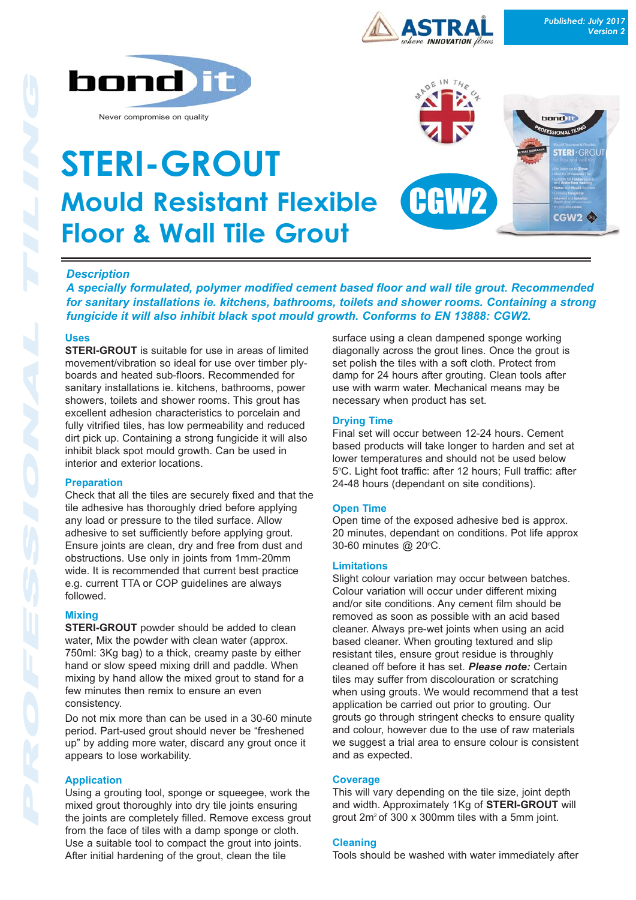





**NNOVATION** flows

# *Description*

*A specially formulated, polymer modified cement based floor and wall tile grout. Recommended for sanitary installations ie. kitchens, bathrooms, toilets and shower rooms. Containing a strong fungicide it will also inhibit black spot mould growth. Conforms to EN 13888: CGW2.*

#### **Uses**

**STERI-GROUT** is suitable for use in areas of limited movement/vibration so ideal for use over timber plyboards and heated sub-floors. Recommended for sanitary installations ie. kitchens, bathrooms, power showers, toilets and shower rooms. This grout has excellent adhesion characteristics to porcelain and fully vitrified tiles, has low permeability and reduced dirt pick up. Containing a strong fungicide it will also inhibit black spot mould growth. Can be used in interior and exterior locations.

## **Preparation**

Check that all the tiles are securely fixed and that the tile adhesive has thoroughly dried before applying any load or pressure to the tiled surface. Allow adhesive to set sufficiently before applying grout. Ensure joints are clean, dry and free from dust and obstructions. Use only in joints from 1mm-20mm wide. It is recommended that current best practice e.g. current TTA or COP guidelines are always followed.

## **Mixing**

**STERI-GROUT** powder should be added to clean water, Mix the powder with clean water (approx. 750ml: 3Kg bag) to a thick, creamy paste by either hand or slow speed mixing drill and paddle. When mixing by hand allow the mixed grout to stand for a few minutes then remix to ensure an even consistency.

Do not mix more than can be used in a 30-60 minute period. Part-used grout should never be "freshened up" by adding more water, discard any grout once it appears to lose workability.

## **Application**

Using a grouting tool, sponge or squeegee, work the mixed grout thoroughly into dry tile joints ensuring the joints are completely filled. Remove excess grout from the face of tiles with a damp sponge or cloth. Use a suitable tool to compact the grout into joints. After initial hardening of the grout, clean the tile

surface using a clean dampened sponge working diagonally across the grout lines. Once the grout is set polish the tiles with a soft cloth. Protect from damp for 24 hours after grouting. Clean tools after use with warm water. Mechanical means may be necessary when product has set.

## **Drying Time**

Final set will occur between 12-24 hours. Cement based products will take longer to harden and set at lower temperatures and should not be used below 5°C. Light foot traffic: after 12 hours; Full traffic: after 24-48 hours (dependant on site conditions).

## **Open Time**

Open time of the exposed adhesive bed is approx. 20 minutes, dependant on conditions. Pot life approx 30-60 minutes @ 20°C.

## **Limitations**

Slight colour variation may occur between batches. Colour variation will occur under different mixing and/or site conditions. Any cement film should be removed as soon as possible with an acid based cleaner. Always pre-wet joints when using an acid based cleaner. When grouting textured and slip resistant tiles, ensure grout residue is throughly cleaned off before it has set. *Please note:* Certain tiles may suffer from discolouration or scratching when using grouts. We would recommend that a test application be carried out prior to grouting. Our grouts go through stringent checks to ensure quality and colour, however due to the use of raw materials we suggest a trial area to ensure colour is consistent and as expected.

## **Coverage**

This will vary depending on the tile size, joint depth and width. Approximately 1Kg of **STERI-GROUT** will grout 2m2 of 300 x 300mm tiles with a 5mm joint.

#### **Cleaning**

Tools should be washed with water immediately after